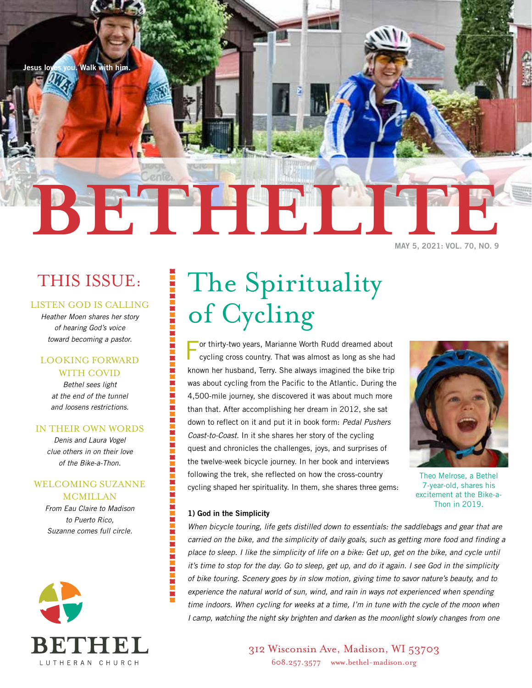

## THIS ISSUE:

## LISTEN GOD IS CALLING

*Heather Moen shares her story of hearing God's voice toward becoming a pastor.* 

## LOOKING FORWARD WITH COVID

*Bethel sees light at the end of the tunnel and loosens restrictions.*

### IN THEIR OWN WORDS

*Denis and Laura Vogel clue others in on their love of the Bike-a-Thon.*

## WELCOMING SUZANNE MCMILLAN

*From Eau Claire to Madison to Puerto Rico, Suzanne comes full circle.*



# The Spirituality of Cycling

For thirty-two years, Marianne Worth Rudd dreamed about cycling cross country. That was almost as long as she had known her husband, Terry. She always imagined the bike trip was about cycling from the Pacific to the Atlantic. During the 4,500-mile journey, she discovered it was about much more than that. After accomplishing her dream in 2012, she sat down to reflect on it and put it in book form: *Pedal Pushers Coast-to-Coast*. In it she shares her story of the cycling quest and chronicles the challenges, joys, and surprises of the twelve-week bicycle journey. In her book and interviews following the trek, she reflected on how the cross-country cycling shaped her spirituality. In them, she shares three gems:



Theo Melrose, a Bethel 7-year-old, shares his excitement at the Bike-a-Thon in 2019.

### **1) God in the Simplicity**

| 第2章 第2章

*When bicycle touring, life gets distilled down to essentials: the saddlebags and gear that are carried on the bike, and the simplicity of daily goals, such as getting more food and finding a place to sleep. I like the simplicity of life on a bike: Get up, get on the bike, and cycle until it's time to stop for the day. Go to sleep, get up, and do it again. I see God in the simplicity of bike touring. Scenery goes by in slow motion, giving time to savor nature's beauty, and to experience the natural world of sun, wind, and rain in ways not experienced when spending time indoors. When cycling for weeks at a time, I'm in tune with the cycle of the moon when I camp, watching the night sky brighten and darken as the moonlight slowly changes from one* 

> 312 Wisconsin Ave, Madison, WI 53703 608.257.3577 www.bethel-madison.org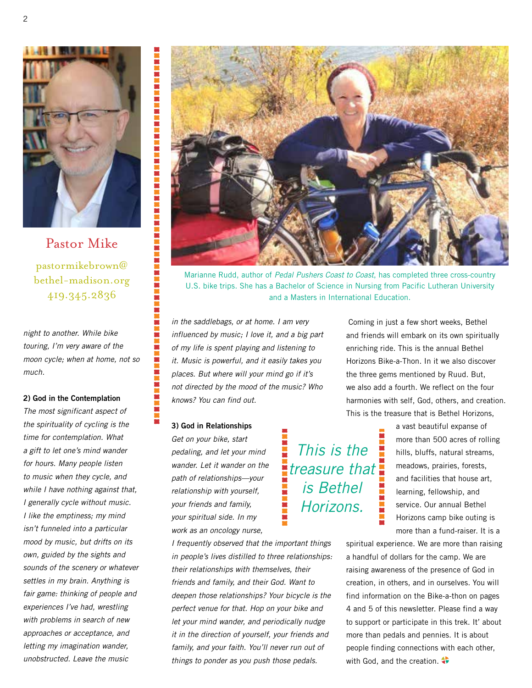

Pastor Mike pastormikebrown@ bethel-madison.org 419.345.2836

*night to another. While bike touring, I'm very aware of the moon cycle; when at home, not so much.*

#### **2) God in the Contemplation**

*The most significant aspect of the spirituality of cycling is the time for contemplation. What a gift to let one's mind wander for hours. Many people listen to music when they cycle, and while I have nothing against that, I generally cycle without music. I like the emptiness; my mind isn't funneled into a particular mood by music, but drifts on its own, guided by the sights and sounds of the scenery or whatever settles in my brain. Anything is fair game: thinking of people and experiences I've had, wrestling with problems in search of new approaches or acceptance, and letting my imagination wander, unobstructed. Leave the music* 



Marianne Rudd, author of *Pedal Pushers Coast to Coast*, has completed three cross-country U.S. bike trips. She has a Bachelor of Science in Nursing from Pacific Lutheran University and a Masters in International Education.

*in the saddlebags, or at home. I am very influenced by music; I love it, and a big part of my life is spent playing and listening to it. Music is powerful, and it easily takes you places. But where will your mind go if it's not directed by the mood of the music? Who knows? You can find out.* 

#### **3) God in Relationships**

*Get on your bike, start pedaling, and let your mind wander. Let it wander on the path of relationships—your relationship with yourself, your friends and family, your spiritual side. In my work as an oncology nurse,* 

*I frequently observed that the important things in people's lives distilled to three relationships: their relationships with themselves, their friends and family, and their God. Want to deepen those relationships? Your bicycle is the perfect venue for that. Hop on your bike and let your mind wander, and periodically nudge it in the direction of yourself, your friends and family, and your faith. You'll never run out of things to ponder as you push those pedals.*

 Coming in just a few short weeks, Bethel and friends will embark on its own spiritually enriching ride. This is the annual Bethel Horizons Bike-a-Thon. In it we also discover the three gems mentioned by Ruud. But, we also add a fourth. We reflect on the four harmonies with self, God, others, and creation. This is the treasure that is Bethel Horizons,

*This is the treasure that is Bethel Horizons.*

a vast beautiful expanse of more than 500 acres of rolling hills, bluffs, natural streams, meadows, prairies, forests, and facilities that house art, learning, fellowship, and service. Our annual Bethel Horizons camp bike outing is more than a fund-raiser. It is a

spiritual experience. We are more than raising a handful of dollars for the camp. We are raising awareness of the presence of God in creation, in others, and in ourselves. You will find information on the Bike-a-thon on pages 4 and 5 of this newsletter. Please find a way to support or participate in this trek. It' about more than pedals and pennies. It is about people finding connections with each other, with God, and the creation.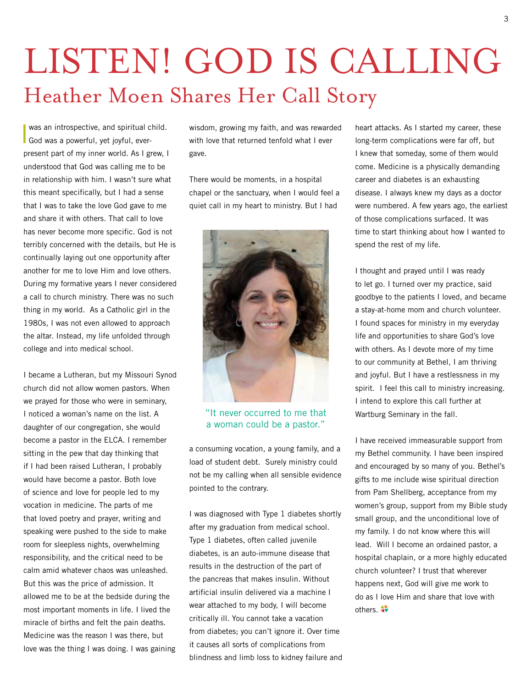# LISTEN! GOD IS CALLING Heather Moen Shares Her Call Story

I was an introspective, and spiritual c<br>God was a powerful, yet joyful, everwas an introspective, and spiritual child. present part of my inner world. As I grew, I understood that God was calling me to be in relationship with him. I wasn't sure what this meant specifically, but I had a sense that I was to take the love God gave to me and share it with others. That call to love has never become more specific. God is not terribly concerned with the details, but He is continually laying out one opportunity after another for me to love Him and love others. During my formative years I never considered a call to church ministry. There was no such thing in my world. As a Catholic girl in the 1980s, I was not even allowed to approach the altar. Instead, my life unfolded through college and into medical school.

I became a Lutheran, but my Missouri Synod church did not allow women pastors. When we prayed for those who were in seminary, I noticed a woman's name on the list. A daughter of our congregation, she would become a pastor in the ELCA. I remember sitting in the pew that day thinking that if I had been raised Lutheran, I probably would have become a pastor. Both love of science and love for people led to my vocation in medicine. The parts of me that loved poetry and prayer, writing and speaking were pushed to the side to make room for sleepless nights, overwhelming responsibility, and the critical need to be calm amid whatever chaos was unleashed. But this was the price of admission. It allowed me to be at the bedside during the most important moments in life. I lived the miracle of births and felt the pain deaths. Medicine was the reason I was there, but love was the thing I was doing. I was gaining wisdom, growing my faith, and was rewarded with love that returned tenfold what I ever gave.

There would be moments, in a hospital chapel or the sanctuary, when I would feel a quiet call in my heart to ministry. But I had



"It never occurred to me that a woman could be a pastor."

a consuming vocation, a young family, and a load of student debt. Surely ministry could not be my calling when all sensible evidence pointed to the contrary.

I was diagnosed with Type 1 diabetes shortly after my graduation from medical school. Type 1 diabetes, often called juvenile diabetes, is an auto-immune disease that results in the destruction of the part of the pancreas that makes insulin. Without artificial insulin delivered via a machine I wear attached to my body, I will become critically ill. You cannot take a vacation from diabetes; you can't ignore it. Over time it causes all sorts of complications from blindness and limb loss to kidney failure and heart attacks. As I started my career, these long-term complications were far off, but I knew that someday, some of them would come. Medicine is a physically demanding career and diabetes is an exhausting disease. I always knew my days as a doctor were numbered. A few years ago, the earliest of those complications surfaced. It was time to start thinking about how I wanted to spend the rest of my life.

I thought and prayed until I was ready to let go. I turned over my practice, said goodbye to the patients I loved, and became a stay-at-home mom and church volunteer. I found spaces for ministry in my everyday life and opportunities to share God's love with others. As I devote more of my time to our community at Bethel, I am thriving and joyful. But I have a restlessness in my spirit. I feel this call to ministry increasing. I intend to explore this call further at Wartburg Seminary in the fall.

I have received immeasurable support from my Bethel community. I have been inspired and encouraged by so many of you. Bethel's gifts to me include wise spiritual direction from Pam Shellberg, acceptance from my women's group, support from my Bible study small group, and the unconditional love of my family. I do not know where this will lead. Will I become an ordained pastor, a hospital chaplain, or a more highly educated church volunteer? I trust that wherever happens next, God will give me work to do as I love Him and share that love with others.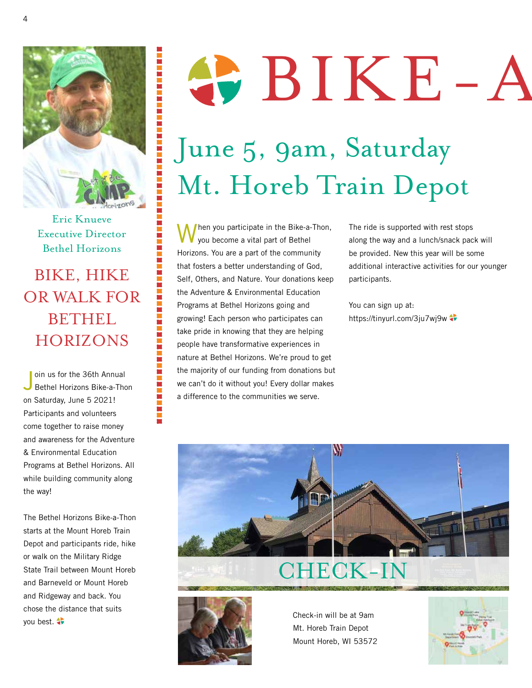

第三章第三章第三章

真言真言言

医耳耳耳耳

Eric Knueve Executive Director Bethel Horizons

BIKE, HIKE OR WALK FOR **BETHEL** HORIZONS

J oin us for the 36th Annual Bethel Horizons Bike-a-Thon on Saturday, June 5 2021! Participants and volunteers come together to raise money and awareness for the Adventure & Environmental Education Programs at Bethel Horizons. All while building community along the way!

The Bethel Horizons Bike-a-Thon starts at the Mount Horeb Train Depot and participants ride, hike or walk on the Military Ridge State Trail between Mount Horeb and Barneveld or Mount Horeb and Ridgeway and back. You chose the distance that suits you best.

# SPIKE-A

# June 5, 9am, Saturday Mt. Horeb Train Depot

When you participate in the Bike-a-Thon, you become a vital part of Bethel Horizons. You are a part of the community that fosters a better understanding of God, Self, Others, and Nature. Your donations keep the Adventure & Environmental Education Programs at Bethel Horizons going and growing! Each person who participates can take pride in knowing that they are helping people have transformative experiences in nature at Bethel Horizons. We're proud to get the majority of our funding from donations but we can't do it without you! Every dollar makes a difference to the communities we serve.

The ride is supported with rest stops along the way and a lunch/snack pack will be provided. New this year will be some additional interactive activities for our younger participants.

You can sign up at: https://tinyurl.com/3ju7wj9w



## CHECK-IN



Check-in will be at 9am Mt. Horeb Train Depot Mount Horeb, WI 53572

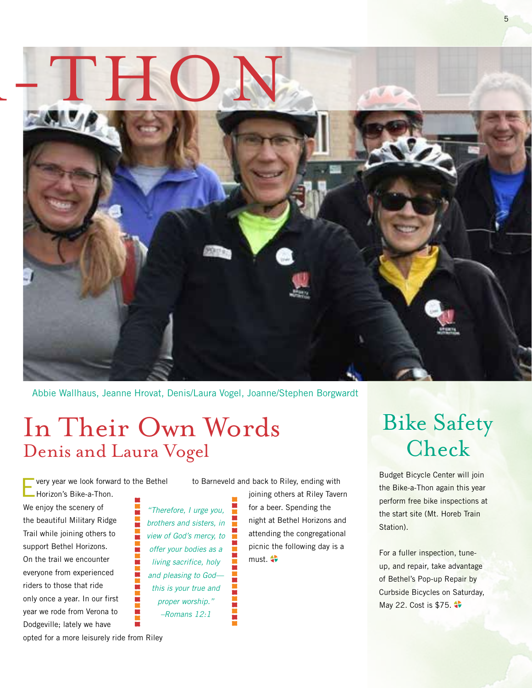

Abbie Wallhaus, Jeanne Hrovat, Denis/Laura Vogel, Joanne/Stephen Borgwardt

## In Their Own Words Denis and Laura Vogel

very year we look forward to the Bethel Horizon's Bike-a-Thon. We enjoy the scenery of the beautiful Military Ridge Trail while joining others to support Bethel Horizons. On the trail we encounter everyone from experienced riders to those that ride only once a year. In our first year we rode from Verona to Dodgeville; lately we have

*"Therefore, I urge you, brothers and sisters, in view of God's mercy, to offer your bodies as a living sacrifice, holy and pleasing to God this is your true and proper worship." –Romans 12:1*

to Barneveld and back to Riley, ending with

joining others at Riley Tavern for a beer. Spending the night at Bethel Horizons and attending the congregational picnic the following day is a  $must.$  $\bullet$ 

## Bike Safety Check

5

Budget Bicycle Center will join the Bike-a-Thon again this year perform free bike inspections at the start site (Mt. Horeb Train Station).

For a fuller inspection, tuneup, and repair, take advantage of Bethel's Pop-up Repair by Curbside Bicycles on Saturday, May 22. Cost is \$75.

opted for a more leisurely ride from Riley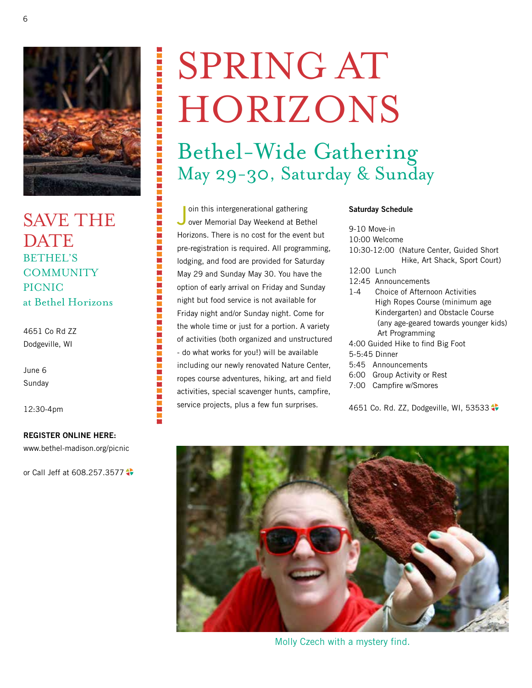

医阿里里氏试验检尿糖尿病试验检尿糖尿病试验

其實實實實實質的實質質質

SAVE THE DATE BETHEL'S **COMMUNITY** PICNIC at Bethel Horizons

4651 Co Rd ZZ Dodgeville, WI

June 6 Sunday

12:30-4pm

#### **REGISTER ONLINE HERE:**

www.bethel-madison.org/picnic

or Call Jeff at 608.257.3577

# SPRING AT HORIZONS

Bethel-Wide Gathering May 29-30, Saturday & Sunday

Join this intergenerational gathering<br>Jover Memorial Day Weekend at Bethel oin this intergenerational gathering Horizons. There is no cost for the event but pre-registration is required. All programming, lodging, and food are provided for Saturday May 29 and Sunday May 30. You have the option of early arrival on Friday and Sunday night but food service is not available for Friday night and/or Sunday night. Come for the whole time or just for a portion. A variety of activities (both organized and unstructured - do what works for you!) will be available including our newly renovated Nature Center, ropes course adventures, hiking, art and field activities, special scavenger hunts, campfire, service projects, plus a few fun surprises.

### **Saturday Schedule**

9-10 Move-in

- 10:00 Welcome
- 10:30-12:00 (Nature Center, Guided Short Hike, Art Shack, Sport Court)
- 12:00 Lunch
- 12:45 Announcements
- 1-4 Choice of Afternoon Activities High Ropes Course (minimum age Kindergarten) and Obstacle Course (any age-geared towards younger kids) Art Programming
- 4:00 Guided Hike to find Big Foot
- 5-5:45 Dinner
- 5:45 Announcements
- 6:00 Group Activity or Rest
- 7:00 Campfire w/Smores

4651 Co. Rd. ZZ, Dodgeville, WI, 53533



Molly Czech with a mystery find.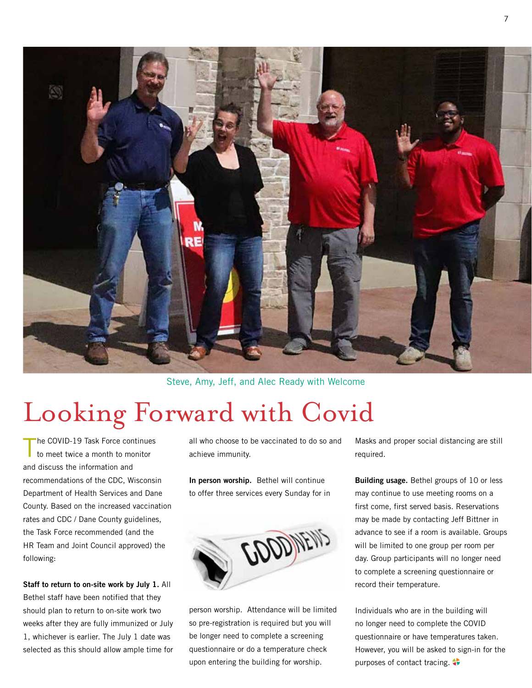

Steve, Amy, Jeff, and Alec Ready with Welcome

## Looking Forward with Covid

he COVID-19 Task Force continues to meet twice a month to monitor and discuss the information and recommendations of the CDC, Wisconsin Department of Health Services and Dane County. Based on the increased vaccination rates and CDC / Dane County guidelines, the Task Force recommended (and the HR Team and Joint Council approved) the following:

**Staff to return to on-site work by July 1.** All Bethel staff have been notified that they should plan to return to on-site work two weeks after they are fully immunized or July 1, whichever is earlier. The July 1 date was selected as this should allow ample time for

all who choose to be vaccinated to do so and achieve immunity.

**In person worship.** Bethel will continue to offer three services every Sunday for in



person worship. Attendance will be limited so pre-registration is required but you will be longer need to complete a screening questionnaire or do a temperature check upon entering the building for worship.

Masks and proper social distancing are still required.

**Building usage.** Bethel groups of 10 or less may continue to use meeting rooms on a first come, first served basis. Reservations may be made by contacting Jeff Bittner in advance to see if a room is available. Groups will be limited to one group per room per day. Group participants will no longer need to complete a screening questionnaire or record their temperature.

Individuals who are in the building will no longer need to complete the COVID questionnaire or have temperatures taken. However, you will be asked to sign-in for the purposes of contact tracing.